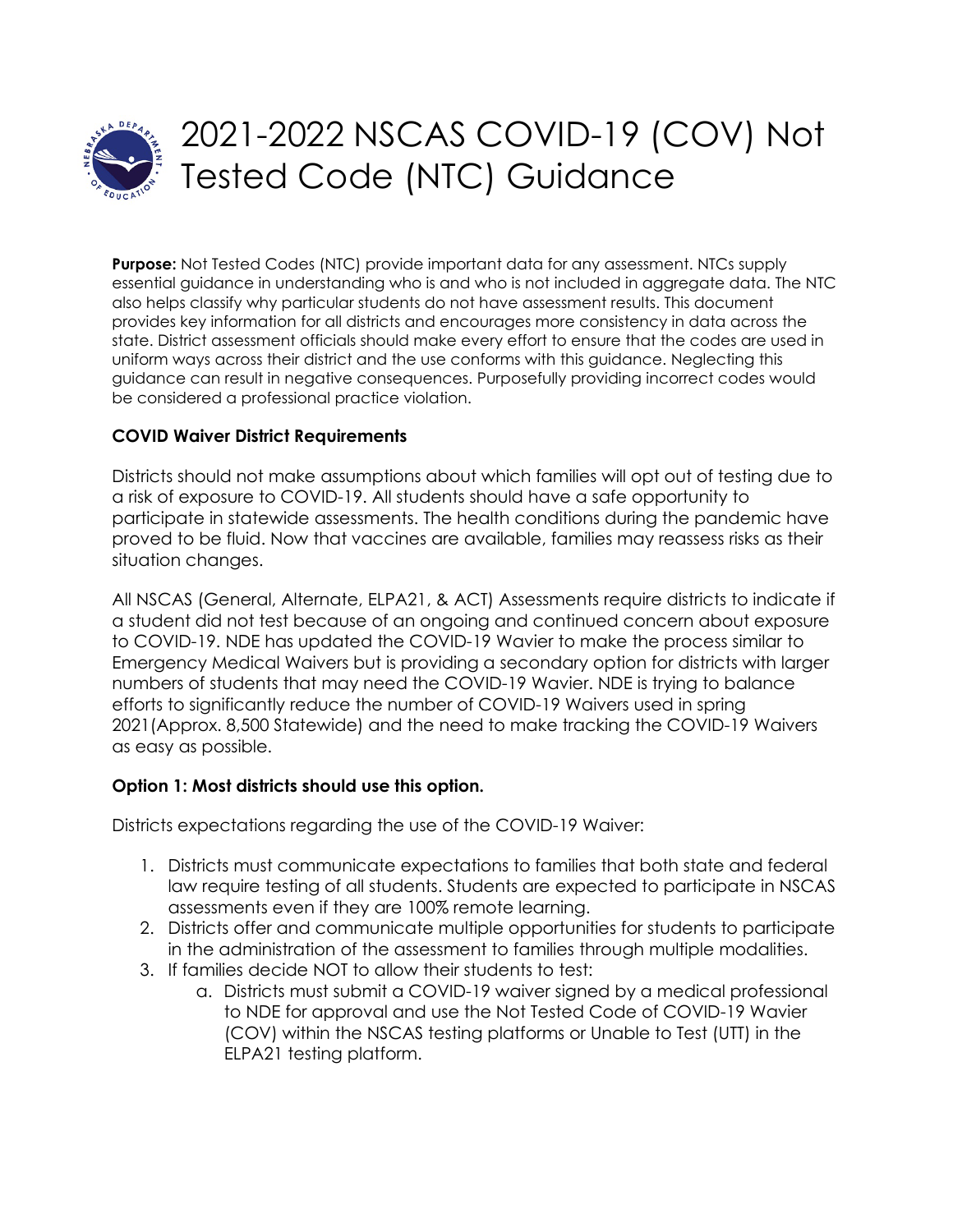

## 2021-2022 NSCAS COVID-19 (COV) Not Tested Code (NTC) Guidance

**Purpose:** Not Tested Codes (NTC) provide important data for any assessment. NTCs supply essential guidance in understanding who is and who is not included in aggregate data. The NTC also helps classify why particular students do not have assessment results. This document provides key information for all districts and encourages more consistency in data across the state. District assessment officials should make every effort to ensure that the codes are used in uniform ways across their district and the use conforms with this guidance. Neglecting this guidance can result in negative consequences. Purposefully providing incorrect codes would be considered a professional practice violation.

## **COVID Waiver District Requirements**

Districts should not make assumptions about which families will opt out of testing due to a risk of exposure to COVID-19. All students should have a safe opportunity to participate in statewide assessments. The health conditions during the pandemic have proved to be fluid. Now that vaccines are available, families may reassess risks as their situation changes.

All NSCAS (General, Alternate, ELPA21, & ACT) Assessments require districts to indicate if a student did not test because of an ongoing and continued concern about exposure to COVID-19. NDE has updated the COVID-19 Wavier to make the process similar to Emergency Medical Waivers but is providing a secondary option for districts with larger numbers of students that may need the COVID-19 Wavier. NDE is trying to balance efforts to significantly reduce the number of COVID-19 Waivers used in spring 2021(Approx. 8,500 Statewide) and the need to make tracking the COVID-19 Waivers as easy as possible.

## **Option 1: Most districts should use this option.**

Districts expectations regarding the use of the COVID-19 Waiver:

- 1. Districts must communicate expectations to families that both state and federal law require testing of all students. Students are expected to participate in NSCAS assessments even if they are 100% remote learning.
- 2. Districts offer and communicate multiple opportunities for students to participate in the administration of the assessment to families through multiple modalities.
- 3. If families decide NOT to allow their students to test:
	- a. Districts must submit a COVID-19 waiver signed by a medical professional to NDE for approval and use the Not Tested Code of COVID-19 Wavier (COV) within the NSCAS testing platforms or Unable to Test (UTT) in the ELPA21 testing platform.